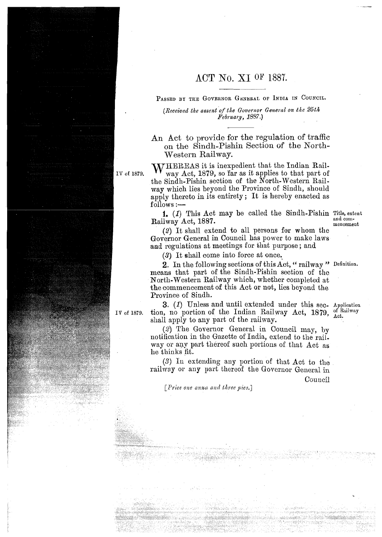## ACT No. XI OF 1887.

PASSED BY THE GOVERNOR GENERAL OF INDIA IN COUNCIL.

*(Received the assent of the Governor General on the 25th Pebruary, 1887.)* 

An Act to provide for the regulation of traffic on the Sindh-Pishin Section of the North-Western Railway.

WHEREAS it is inexpedient that the Indian Rail**of 1879.** way Act, 1819, so 'far as it applies to that part of the Sindh-Pishin section of the North-Western Railxay which lies beyond the Province of Sindh, should apply thereto in its entirety ; It is hereby enacted as  $\operatorname{follows} :$   $\hspace{0.1em}-\hspace{0.1em}$ 

> **1.** (1) This Act may be called the Sindh-Pishin Title, extent and com-Railway Act, 1887. and com-

(2) It shall extend to all persons for whom the Governor General in Council has power to make laws and regulations at meetings for that purpose; and

**(3)** It ehall come into force at once,

**2.** In the following sections of this Act, " railway " Definition. means that part of the Sindh-Pishin section of the North-Western Railway which, whether completed at the commencement of this Act or not, lies beyond the Province of Sindh.

**3.** (1) Unless and until extended under this sec. Application no nortion of the Indian Railway Act. 1870 of Railway IV of 1879. **tion**, no portion of the Indian Railway Act, 1879, <sup>of K</sup> shall apply to any part of the railway.

> (2) The Governor General in Council may, by notification in the Gazette of India, extend to the railway or any part thereof such portions of that Act as he thinks fit.

 $(3)$  In extending any portion of that Act to the railway or any part thereof the Governor General in Council

*<i>Price one anna and three pies.*]